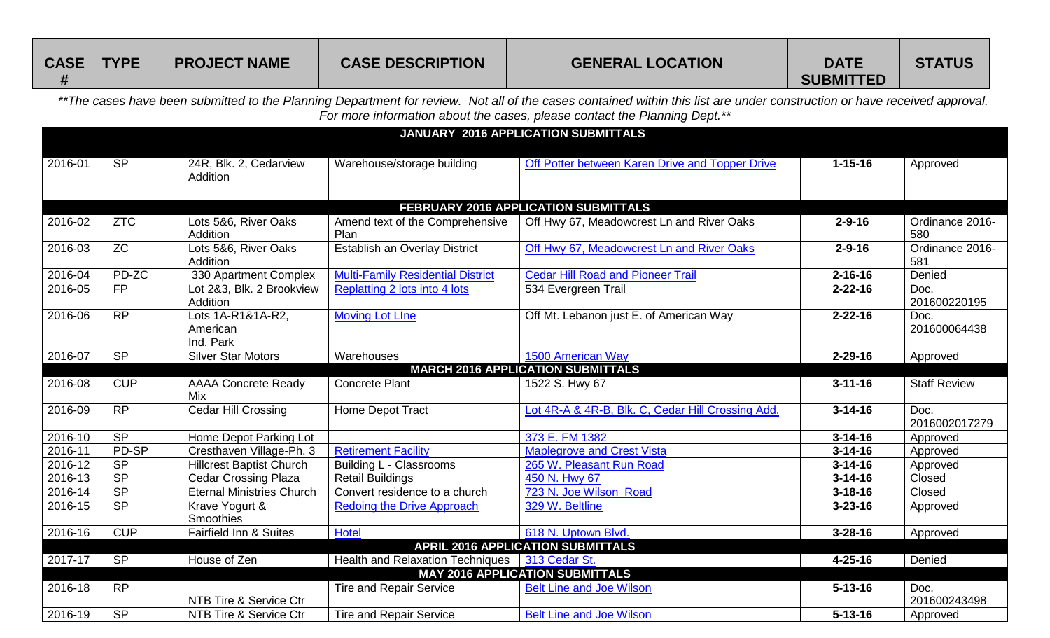| <b>CASE</b> | TYPE | <b>PROJECT NAME</b> | <b>CASE DESCRIPTION</b> | <b>GENERAL LOCATION</b> | <b>DATE</b>      | <b>STATUS</b> |
|-------------|------|---------------------|-------------------------|-------------------------|------------------|---------------|
|             |      |                     |                         |                         | <b>SUBMITTED</b> |               |

*\*\*The cases have been submitted to the Planning Department for review. Not all of the cases contained within this list are under construction or have received approval. For more information about the cases, please contact the Planning Dept.\*\**

|         |                 |                                            |                                                  | <b>JANUARY 2016 APPLICATION SUBMITTALS</b>        |               |                        |
|---------|-----------------|--------------------------------------------|--------------------------------------------------|---------------------------------------------------|---------------|------------------------|
| 2016-01 | SP              | 24R, Blk. 2, Cedarview<br>Addition         | Warehouse/storage building                       | Off Potter between Karen Drive and Topper Drive   | $1 - 15 - 16$ | Approved               |
|         |                 |                                            |                                                  | FEBRUARY 2016 APPLICATION SUBMITTALS              |               |                        |
| 2016-02 | <b>ZTC</b>      | Lots 5&6, River Oaks<br>Addition           | Amend text of the Comprehensive<br>Plan          | Off Hwy 67, Meadowcrest Ln and River Oaks         | $2 - 9 - 16$  | Ordinance 2016-<br>580 |
| 2016-03 | ZC              | Lots 5&6, River Oaks<br>Addition           | Establish an Overlay District                    | Off Hwy 67, Meadowcrest Ln and River Oaks         | $2 - 9 - 16$  | Ordinance 2016-<br>581 |
| 2016-04 | PD-ZC           | 330 Apartment Complex                      | <b>Multi-Family Residential District</b>         | <b>Cedar Hill Road and Pioneer Trail</b>          | $2 - 16 - 16$ | Denied                 |
| 2016-05 | FP              | Lot 2&3, Blk. 2 Brookview<br>Addition      | Replatting 2 lots into 4 lots                    | 534 Evergreen Trail                               | $2 - 22 - 16$ | Doc.<br>201600220195   |
| 2016-06 | <b>RP</b>       | Lots 1A-R1&1A-R2,<br>American<br>Ind. Park | <b>Moving Lot Line</b>                           | Off Mt. Lebanon just E. of American Way           | $2 - 22 - 16$ | Doc.<br>201600064438   |
| 2016-07 | SP              | <b>Silver Star Motors</b>                  | Warehouses                                       | 1500 American Way                                 | $2 - 29 - 16$ | Approved               |
|         |                 |                                            |                                                  | <b>MARCH 2016 APPLICATION SUBMITTALS</b>          |               |                        |
| 2016-08 | <b>CUP</b>      | <b>AAAA Concrete Ready</b><br>Mix          | <b>Concrete Plant</b>                            | 1522 S. Hwy 67                                    | $3 - 11 - 16$ | <b>Staff Review</b>    |
| 2016-09 | $\overline{RP}$ | Cedar Hill Crossing                        | Home Depot Tract                                 | Lot 4R-A & 4R-B, Blk. C, Cedar Hill Crossing Add. | $3 - 14 - 16$ | Doc.<br>2016002017279  |
| 2016-10 | S <sub>P</sub>  | Home Depot Parking Lot                     |                                                  | 373 E. FM 1382                                    | $3 - 14 - 16$ | Approved               |
| 2016-11 | PD-SP           | Cresthaven Village-Ph. 3                   | <b>Retirement Facility</b>                       | <b>Maplegrove and Crest Vista</b>                 | $3 - 14 - 16$ | Approved               |
| 2016-12 | <b>SP</b>       | <b>Hillcrest Baptist Church</b>            | Building L - Classrooms                          | 265 W. Pleasant Run Road                          | $3 - 14 - 16$ | Approved               |
| 2016-13 | S <sub>P</sub>  | <b>Cedar Crossing Plaza</b>                | <b>Retail Buildings</b>                          | 450 N. Hwy 67                                     | $3 - 14 - 16$ | Closed                 |
| 2016-14 | S <sub>P</sub>  | <b>Eternal Ministries Church</b>           | Convert residence to a church                    | 723 N. Joe Wilson Road                            | $3 - 18 - 16$ | Closed                 |
| 2016-15 | <b>SP</b>       | Krave Yogurt &<br>Smoothies                | <b>Redoing the Drive Approach</b>                | 329 W. Beltline                                   | $3 - 23 - 16$ | Approved               |
| 2016-16 | CUP             | Fairfield Inn & Suites                     | <b>Hotel</b>                                     | 618 N. Uptown Blvd.                               | $3 - 28 - 16$ | Approved               |
|         |                 |                                            |                                                  | <b>APRIL 2016 APPLICATION SUBMITTALS</b>          |               |                        |
| 2017-17 | <b>SP</b>       | House of Zen                               | Health and Relaxation Techniques   313 Cedar St. |                                                   | $4 - 25 - 16$ | Denied                 |
|         |                 |                                            |                                                  | <b>MAY 2016 APPLICATION SUBMITTALS</b>            |               |                        |
| 2016-18 | <b>RP</b>       | NTB Tire & Service Ctr                     | <b>Tire and Repair Service</b>                   | <b>Belt Line and Joe Wilson</b>                   | $5 - 13 - 16$ | Doc.<br>201600243498   |
| 2016-19 | <b>SP</b>       | NTB Tire & Service Ctr                     | <b>Tire and Repair Service</b>                   | <b>Belt Line and Joe Wilson</b>                   | $5 - 13 - 16$ | Approved               |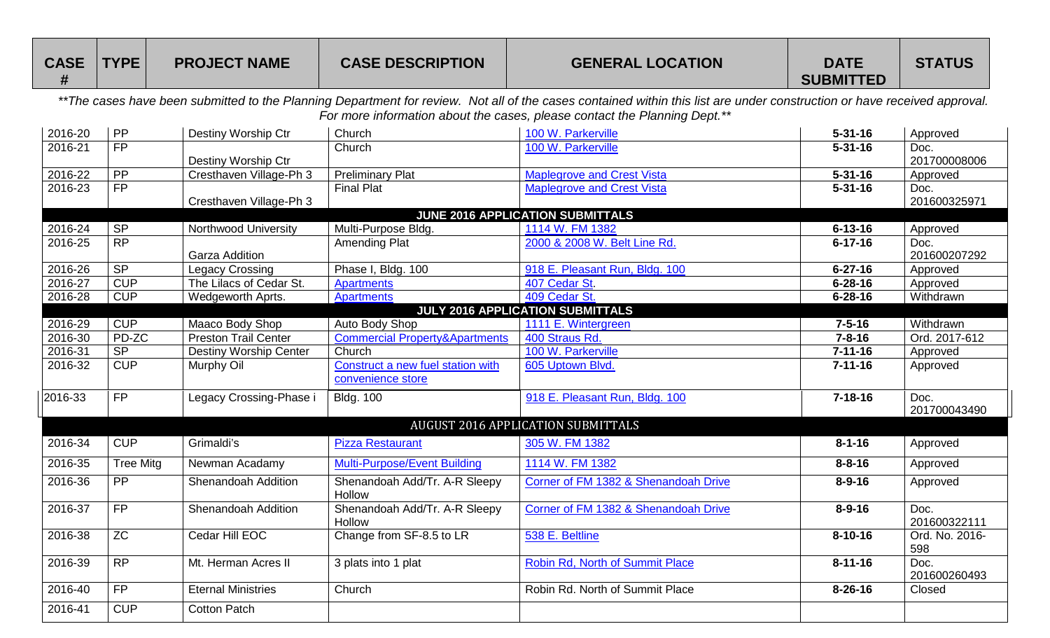| <b>CASE</b> | <b>TYPE!</b> | <b>PROJECT NAME</b> | <b>CASE DESCRIPTION</b> | <b>GENERAL LOCATION</b> | <b>DATE</b>      | <b>STATUS</b> |
|-------------|--------------|---------------------|-------------------------|-------------------------|------------------|---------------|
|             |              |                     |                         |                         | <b>SUBMITTED</b> |               |

*\*\*The cases have been submitted to the Planning Department for review. Not all of the cases contained within this list are under construction or have received approval. For more information about the cases, please contact the Planning Dept.\*\**

| 2016-20 | PP               | Destiny Worship Ctr           | Church                                    | 100 W. Parkerville                      | $5 - 31 - 16$ | Approved       |
|---------|------------------|-------------------------------|-------------------------------------------|-----------------------------------------|---------------|----------------|
| 2016-21 | FP               |                               | Church                                    | 100 W. Parkerville                      | $5 - 31 - 16$ | Doc.           |
|         |                  | Destiny Worship Ctr           |                                           |                                         |               | 201700008006   |
| 2016-22 | PP               | Cresthaven Village-Ph 3       | <b>Preliminary Plat</b>                   | <b>Maplegrove and Crest Vista</b>       | $5 - 31 - 16$ | Approved       |
| 2016-23 | FP               |                               | <b>Final Plat</b>                         | <b>Maplegrove and Crest Vista</b>       | $5 - 31 - 16$ | Doc.           |
|         |                  | Cresthaven Village-Ph 3       |                                           |                                         |               | 201600325971   |
|         |                  |                               |                                           | <b>JUNE 2016 APPLICATION SUBMITTALS</b> |               |                |
| 2016-24 | <b>SP</b>        | Northwood University          | Multi-Purpose Bldg.                       | 1114 W. FM 1382                         | $6 - 13 - 16$ | Approved       |
| 2016-25 | RP               |                               | <b>Amending Plat</b>                      | 2000 & 2008 W. Belt Line Rd.            | $6 - 17 - 16$ | Doc.           |
|         |                  | <b>Garza Addition</b>         |                                           |                                         |               | 201600207292   |
| 2016-26 | SP               | <b>Legacy Crossing</b>        | Phase I, Bldg. 100                        | 918 E. Pleasant Run, Bldg. 100          | $6 - 27 - 16$ | Approved       |
| 2016-27 | CUP              | The Lilacs of Cedar St.       | <b>Apartments</b>                         | 407 Cedar St.                           | $6 - 28 - 16$ | Approved       |
| 2016-28 | CUP              | Wedgeworth Aprts.             | <b>Apartments</b>                         | 409 Cedar St.                           | $6 - 28 - 16$ | Withdrawn      |
|         |                  |                               |                                           | <b>JULY 2016 APPLICATION SUBMITTALS</b> |               |                |
| 2016-29 | CUP              | Maaco Body Shop               | <b>Auto Body Shop</b>                     | 1111 E. Wintergreen                     | $7 - 5 - 16$  | Withdrawn      |
| 2016-30 | PD-ZC            | <b>Preston Trail Center</b>   | <b>Commercial Property&amp;Apartments</b> | 400 Straus Rd.                          | $7 - 8 - 16$  | Ord. 2017-612  |
| 2016-31 | SP               | <b>Destiny Worship Center</b> | Church                                    | 100 W. Parkerville                      | $7 - 11 - 16$ | Approved       |
| 2016-32 | CUP              | Murphy Oil                    | Construct a new fuel station with         | 605 Uptown Blvd.                        | $7 - 11 - 16$ | Approved       |
|         |                  |                               | convenience store                         |                                         |               |                |
| 2016-33 | <b>FP</b>        | Legacy Crossing-Phase i       | <b>Bldg. 100</b>                          | 918 E. Pleasant Run, Bldg. 100          | $7 - 18 - 16$ | Doc.           |
|         |                  |                               |                                           |                                         |               | 201700043490   |
|         |                  |                               |                                           | AUGUST 2016 APPLICATION SUBMITTALS      |               |                |
| 2016-34 | CUP              | Grimaldi's                    | <b>Pizza Restaurant</b>                   | 305 W. FM 1382                          | $8 - 1 - 16$  | Approved       |
| 2016-35 | <b>Tree Mitg</b> | Newman Acadamy                | <b>Multi-Purpose/Event Building</b>       | 1114 W. FM 1382                         | $8 - 8 - 16$  | Approved       |
| 2016-36 | <b>PP</b>        | Shenandoah Addition           | Shenandoah Add/Tr. A-R Sleepy             | Corner of FM 1382 & Shenandoah Drive    | $8 - 9 - 16$  | Approved       |
|         |                  |                               | Hollow                                    |                                         |               |                |
| 2016-37 | <b>FP</b>        | Shenandoah Addition           | Shenandoah Add/Tr. A-R Sleepy             | Corner of FM 1382 & Shenandoah Drive    | $8 - 9 - 16$  | Doc.           |
|         |                  |                               | Hollow                                    |                                         |               | 201600322111   |
| 2016-38 | <b>ZC</b>        | Cedar Hill EOC                | Change from SF-8.5 to LR                  | 538 E. Beltline                         | $8 - 10 - 16$ | Ord. No. 2016- |
|         |                  |                               |                                           |                                         |               | 598            |
| 2016-39 | <b>RP</b>        | Mt. Herman Acres II           | 3 plats into 1 plat                       | Robin Rd, North of Summit Place         | $8 - 11 - 16$ | Doc.           |
|         |                  |                               |                                           |                                         |               | 201600260493   |
| 2016-40 | <b>FP</b>        | <b>Eternal Ministries</b>     | Church                                    | Robin Rd. North of Summit Place         | $8 - 26 - 16$ | Closed         |
| 2016-41 | <b>CUP</b>       | <b>Cotton Patch</b>           |                                           |                                         |               |                |